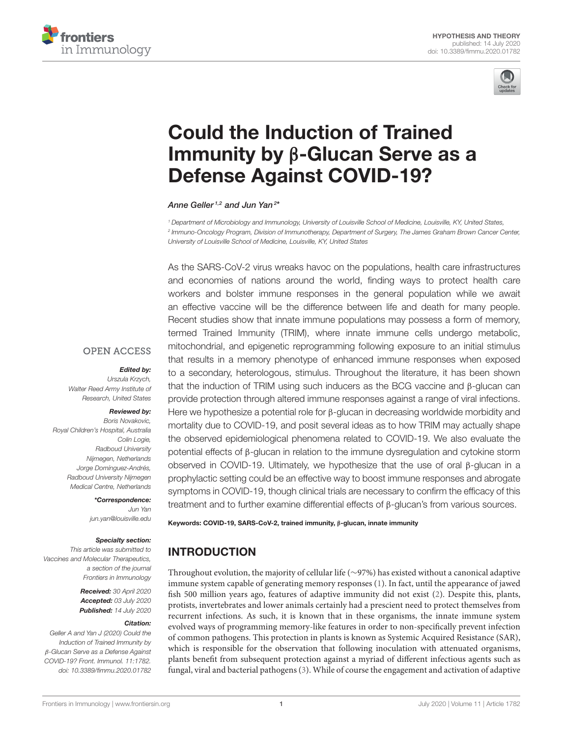



# [Could the Induction of Trained](https://www.frontiersin.org/articles/10.3389/fimmu.2020.01782/full) Immunity by β-Glucan Serve as a Defense Against COVID-19?

[Anne Geller](http://loop.frontiersin.org/people/608645/overview) <sup>1,2</sup> and [Jun Yan](http://loop.frontiersin.org/people/693565/overview)<sup>2\*</sup>

<sup>1</sup> Department of Microbiology and Immunology, University of Louisville School of Medicine, Louisville, KY, United States, 2 Immuno-Oncology Program, Division of Immunotherapy, Department of Surgery, The James Graham Brown Cancer Center, University of Louisville School of Medicine, Louisville, KY, United States

As the SARS-CoV-2 virus wreaks havoc on the populations, health care infrastructures and economies of nations around the world, finding ways to protect health care workers and bolster immune responses in the general population while we await an effective vaccine will be the difference between life and death for many people. Recent studies show that innate immune populations may possess a form of memory, termed Trained Immunity (TRIM), where innate immune cells undergo metabolic, mitochondrial, and epigenetic reprogramming following exposure to an initial stimulus that results in a memory phenotype of enhanced immune responses when exposed to a secondary, heterologous, stimulus. Throughout the literature, it has been shown that the induction of TRIM using such inducers as the BCG vaccine and β-glucan can provide protection through altered immune responses against a range of viral infections. Here we hypothesize a potential role for β-glucan in decreasing worldwide morbidity and mortality due to COVID-19, and posit several ideas as to how TRIM may actually shape the observed epidemiological phenomena related to COVID-19. We also evaluate the potential effects of β-glucan in relation to the immune dysregulation and cytokine storm observed in COVID-19. Ultimately, we hypothesize that the use of oral β-glucan in a prophylactic setting could be an effective way to boost immune responses and abrogate symptoms in COVID-19, though clinical trials are necessary to confirm the efficacy of this treatment and to further examine differential effects of β-glucan's from various sources.

## Urszula Krzych,

**OPEN ACCESS** 

Edited by:

Walter Reed Army Institute of Research, United States

#### Reviewed by:

Boris Novakovic, Royal Children's Hospital, Australia Colin Logie, Radboud University Nijmegen, Netherlands Jorge Domínguez-Andrés, Radboud University Nijmegen Medical Centre, Netherlands

> \*Correspondence: Jun Yan [jun.yan@louisville.edu](mailto:jun.yan@louisville.edu)

#### Specialty section:

This article was submitted to Vaccines and Molecular Therapeutics, a section of the journal Frontiers in Immunology

> Received: 30 April 2020 Accepted: 03 July 2020 Published: 14 July 2020

#### Citation:

Geller A and Yan J (2020) Could the Induction of Trained Immunity by β-Glucan Serve as a Defense Against COVID-19? Front. Immunol. 11:1782. doi: [10.3389/fimmu.2020.01782](https://doi.org/10.3389/fimmu.2020.01782) Keywords: COVID-19, SARS-CoV-2, trained immunity, β-glucan, innate immunity

# INTRODUCTION

Throughout evolution, the majority of cellular life (∼97%) has existed without a canonical adaptive immune system capable of generating memory responses [\(1\)](#page-7-0). In fact, until the appearance of jawed fish 500 million years ago, features of adaptive immunity did not exist [\(2\)](#page-7-1). Despite this, plants, protists, invertebrates and lower animals certainly had a prescient need to protect themselves from recurrent infections. As such, it is known that in these organisms, the innate immune system evolved ways of programming memory-like features in order to non-specifically prevent infection of common pathogens. This protection in plants is known as Systemic Acquired Resistance (SAR), which is responsible for the observation that following inoculation with attenuated organisms, plants benefit from subsequent protection against a myriad of different infectious agents such as fungal, viral and bacterial pathogens [\(3\)](#page-7-2). While of course the engagement and activation of adaptive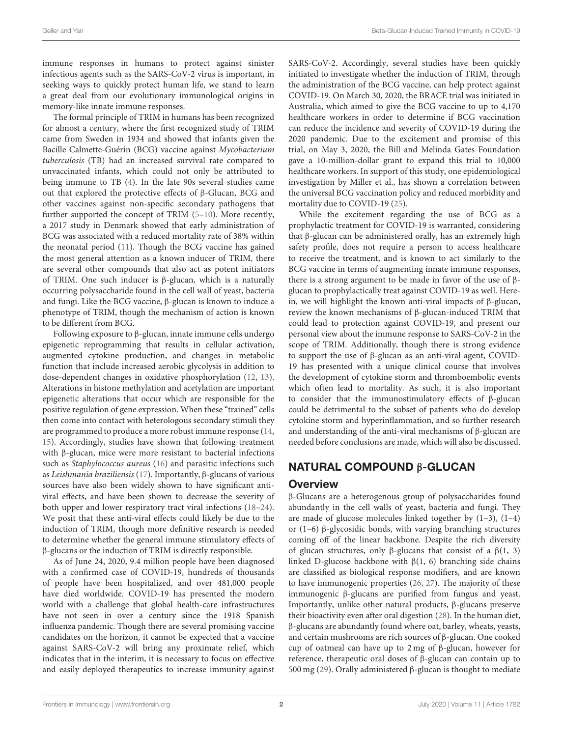immune responses in humans to protect against sinister infectious agents such as the SARS-CoV-2 virus is important, in seeking ways to quickly protect human life, we stand to learn a great deal from our evolutionary immunological origins in memory-like innate immune responses.

The formal principle of TRIM in humans has been recognized for almost a century, where the first recognized study of TRIM came from Sweden in 1934 and showed that infants given the Bacille Calmette-Guérin (BCG) vaccine against Mycobacterium tuberculosis (TB) had an increased survival rate compared to unvaccinated infants, which could not only be attributed to being immune to TB [\(4\)](#page-7-3). In the late 90s several studies came out that explored the protective effects of β-Glucan, BCG and other vaccines against non-specific secondary pathogens that further supported the concept of TRIM [\(5–](#page-7-4)[10\)](#page-7-5). More recently, a 2017 study in Denmark showed that early administration of BCG was associated with a reduced mortality rate of 38% within the neonatal period [\(11\)](#page-7-6). Though the BCG vaccine has gained the most general attention as a known inducer of TRIM, there are several other compounds that also act as potent initiators of TRIM. One such inducer is β-glucan, which is a naturally occurring polysaccharide found in the cell wall of yeast, bacteria and fungi. Like the BCG vaccine, β-glucan is known to induce a phenotype of TRIM, though the mechanism of action is known to be different from BCG.

Following exposure to β-glucan, innate immune cells undergo epigenetic reprogramming that results in cellular activation, augmented cytokine production, and changes in metabolic function that include increased aerobic glycolysis in addition to dose-dependent changes in oxidative phosphorylation [\(12,](#page-7-7) [13\)](#page-7-8). Alterations in histone methylation and acetylation are important epigenetic alterations that occur which are responsible for the positive regulation of gene expression. When these "trained" cells then come into contact with heterologous secondary stimuli they are programmed to produce a more robust immune response [\(14,](#page-7-9) [15\)](#page-7-10). Accordingly, studies have shown that following treatment with β-glucan, mice were more resistant to bacterial infections such as Staphylococcus aureus [\(16\)](#page-7-11) and parasitic infections such as Leishmania braziliensis [\(17\)](#page-7-12). Importantly, β-glucans of various sources have also been widely shown to have significant antiviral effects, and have been shown to decrease the severity of both upper and lower respiratory tract viral infections [\(18–](#page-7-13)[24\)](#page-7-14). We posit that these anti-viral effects could likely be due to the induction of TRIM, though more definitive research is needed to determine whether the general immune stimulatory effects of β-glucans or the induction of TRIM is directly responsible.

As of June 24, 2020, 9.4 million people have been diagnosed with a confirmed case of COVID-19, hundreds of thousands of people have been hospitalized, and over 481,000 people have died worldwide. COVID-19 has presented the modern world with a challenge that global health-care infrastructures have not seen in over a century since the 1918 Spanish influenza pandemic. Though there are several promising vaccine candidates on the horizon, it cannot be expected that a vaccine against SARS-CoV-2 will bring any proximate relief, which indicates that in the interim, it is necessary to focus on effective and easily deployed therapeutics to increase immunity against SARS-CoV-2. Accordingly, several studies have been quickly initiated to investigate whether the induction of TRIM, through the administration of the BCG vaccine, can help protect against COVID-19. On March 30, 2020, the BRACE trial was initiated in Australia, which aimed to give the BCG vaccine to up to 4,170 healthcare workers in order to determine if BCG vaccination can reduce the incidence and severity of COVID-19 during the 2020 pandemic. Due to the excitement and promise of this trial, on May 3, 2020, the Bill and Melinda Gates Foundation gave a 10-million-dollar grant to expand this trial to 10,000 healthcare workers. In support of this study, one epidemiological investigation by Miller et al., has shown a correlation between the universal BCG vaccination policy and reduced morbidity and mortality due to COVID-19 [\(25\)](#page-7-15).

While the excitement regarding the use of BCG as a prophylactic treatment for COVID-19 is warranted, considering that β-glucan can be administered orally, has an extremely high safety profile, does not require a person to access healthcare to receive the treatment, and is known to act similarly to the BCG vaccine in terms of augmenting innate immune responses, there is a strong argument to be made in favor of the use of βglucan to prophylactically treat against COVID-19 as well. Herein, we will highlight the known anti-viral impacts of β-glucan, review the known mechanisms of β-glucan-induced TRIM that could lead to protection against COVID-19, and present our personal view about the immune response to SARS-CoV-2 in the scope of TRIM. Additionally, though there is strong evidence to support the use of β-glucan as an anti-viral agent, COVID-19 has presented with a unique clinical course that involves the development of cytokine storm and thromboembolic events which often lead to mortality. As such, it is also important to consider that the immunostimulatory effects of β-glucan could be detrimental to the subset of patients who do develop cytokine storm and hyperinflammation, and so further research and understanding of the anti-viral mechanisms of β-glucan are needed before conclusions are made, which will also be discussed.

### NATURAL COMPOUND β-GLUCAN

#### **Overview**

β-Glucans are a heterogenous group of polysaccharides found abundantly in the cell walls of yeast, bacteria and fungi. They are made of glucose molecules linked together by  $(1-3)$ ,  $(1-4)$ or (1–6) β-glycosidic bonds, with varying branching structures coming off of the linear backbone. Despite the rich diversity of glucan structures, only β-glucans that consist of a β(1, 3) linked D-glucose backbone with  $β(1, 6)$  branching side chains are classified as biological response modifiers, and are known to have immunogenic properties [\(26,](#page-7-16) [27\)](#page-7-17). The majority of these immunogenic β-glucans are purified from fungus and yeast. Importantly, unlike other natural products, β-glucans preserve their bioactivity even after oral digestion [\(28\)](#page-7-18). In the human diet, β-glucans are abundantly found where oat, barley, wheats, yeasts, and certain mushrooms are rich sources of β-glucan. One cooked cup of oatmeal can have up to 2 mg of β-glucan, however for reference, therapeutic oral doses of β-glucan can contain up to 500 mg [\(29\)](#page-7-19). Orally administered β-glucan is thought to mediate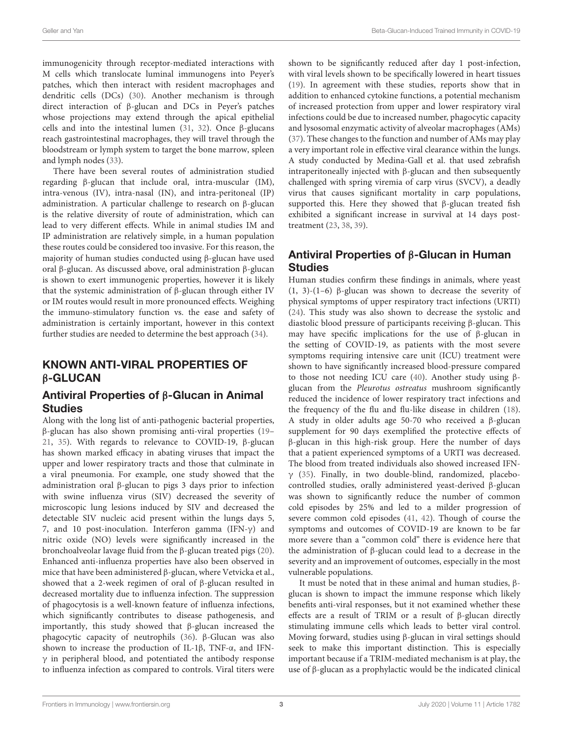immunogenicity through receptor-mediated interactions with M cells which translocate luminal immunogens into Peyer's patches, which then interact with resident macrophages and dendritic cells (DCs) [\(30\)](#page-7-20). Another mechanism is through direct interaction of β-glucan and DCs in Peyer's patches whose projections may extend through the apical epithelial cells and into the intestinal lumen [\(31,](#page-7-21) [32\)](#page-7-22). Once β-glucans reach gastrointestinal macrophages, they will travel through the bloodstream or lymph system to target the bone marrow, spleen and lymph nodes [\(33\)](#page-7-23).

There have been several routes of administration studied regarding β-glucan that include oral, intra-muscular (IM), intra-venous (IV), intra-nasal (IN), and intra-peritoneal (IP) administration. A particular challenge to research on β-glucan is the relative diversity of route of administration, which can lead to very different effects. While in animal studies IM and IP administration are relatively simple, in a human population these routes could be considered too invasive. For this reason, the majority of human studies conducted using β-glucan have used oral β-glucan. As discussed above, oral administration β-glucan is shown to exert immunogenic properties, however it is likely that the systemic administration of β-glucan through either IV or IM routes would result in more pronounced effects. Weighing the immuno-stimulatory function vs. the ease and safety of administration is certainly important, however in this context further studies are needed to determine the best approach [\(34\)](#page-8-0).

### KNOWN ANTI-VIRAL PROPERTIES OF β-GLUCAN

#### Antiviral Properties of β-Glucan in Animal Studies

Along with the long list of anti-pathogenic bacterial properties, β-glucan has also shown promising anti-viral properties [\(19–](#page-7-24) [21,](#page-7-25) [35\)](#page-8-1). With regards to relevance to COVID-19, β-glucan has shown marked efficacy in abating viruses that impact the upper and lower respiratory tracts and those that culminate in a viral pneumonia. For example, one study showed that the administration oral β-glucan to pigs 3 days prior to infection with swine influenza virus (SIV) decreased the severity of microscopic lung lesions induced by SIV and decreased the detectable SIV nucleic acid present within the lungs days 5, 7, and 10 post-inoculation. Interferon gamma (IFN-γ) and nitric oxide (NO) levels were significantly increased in the bronchoalveolar lavage fluid from the β-glucan treated pigs [\(20\)](#page-7-26). Enhanced anti-influenza properties have also been observed in mice that have been administered β-glucan, where Vetvicka et al., showed that a 2-week regimen of oral of β-glucan resulted in decreased mortality due to influenza infection. The suppression of phagocytosis is a well-known feature of influenza infections, which significantly contributes to disease pathogenesis, and importantly, this study showed that β-glucan increased the phagocytic capacity of neutrophils [\(36\)](#page-8-2). β-Glucan was also shown to increase the production of IL-1β, TNF-α, and IFN- $\gamma$  in peripheral blood, and potentiated the antibody response to influenza infection as compared to controls. Viral titers were shown to be significantly reduced after day 1 post-infection, with viral levels shown to be specifically lowered in heart tissues [\(19\)](#page-7-24). In agreement with these studies, reports show that in addition to enhanced cytokine functions, a potential mechanism of increased protection from upper and lower respiratory viral infections could be due to increased number, phagocytic capacity and lysosomal enzymatic activity of alveolar macrophages (AMs) [\(37\)](#page-8-3). These changes to the function and number of AMs may play a very important role in effective viral clearance within the lungs. A study conducted by Medina-Gall et al. that used zebrafish intraperitoneally injected with β-glucan and then subsequently challenged with spring viremia of carp virus (SVCV), a deadly virus that causes significant mortality in carp populations, supported this. Here they showed that β-glucan treated fish exhibited a significant increase in survival at 14 days posttreatment [\(23,](#page-7-27) [38,](#page-8-4) [39\)](#page-8-5).

### Antiviral Properties of β-Glucan in Human Studies

Human studies confirm these findings in animals, where yeast (1, 3)-(1–6) β-glucan was shown to decrease the severity of physical symptoms of upper respiratory tract infections (URTI) [\(24\)](#page-7-14). This study was also shown to decrease the systolic and diastolic blood pressure of participants receiving β-glucan. This may have specific implications for the use of β-glucan in the setting of COVID-19, as patients with the most severe symptoms requiring intensive care unit (ICU) treatment were shown to have significantly increased blood-pressure compared to those not needing ICU care [\(40\)](#page-8-6). Another study using βglucan from the Pleurotus ostreatus mushroom significantly reduced the incidence of lower respiratory tract infections and the frequency of the flu and flu-like disease in children [\(18\)](#page-7-13). A study in older adults age 50-70 who received a β-glucan supplement for 90 days exemplified the protective effects of β-glucan in this high-risk group. Here the number of days that a patient experienced symptoms of a URTI was decreased. The blood from treated individuals also showed increased IFNγ [\(35\)](#page-8-1). Finally, in two double-blind, randomized, placebocontrolled studies, orally administered yeast-derived β-glucan was shown to significantly reduce the number of common cold episodes by 25% and led to a milder progression of severe common cold episodes [\(41,](#page-8-7) [42\)](#page-8-8). Though of course the symptoms and outcomes of COVID-19 are known to be far more severe than a "common cold" there is evidence here that the administration of β-glucan could lead to a decrease in the severity and an improvement of outcomes, especially in the most vulnerable populations.

It must be noted that in these animal and human studies, βglucan is shown to impact the immune response which likely benefits anti-viral responses, but it not examined whether these effects are a result of TRIM or a result of β-glucan directly stimulating immune cells which leads to better viral control. Moving forward, studies using β-glucan in viral settings should seek to make this important distinction. This is especially important because if a TRIM-mediated mechanism is at play, the use of β-glucan as a prophylactic would be the indicated clinical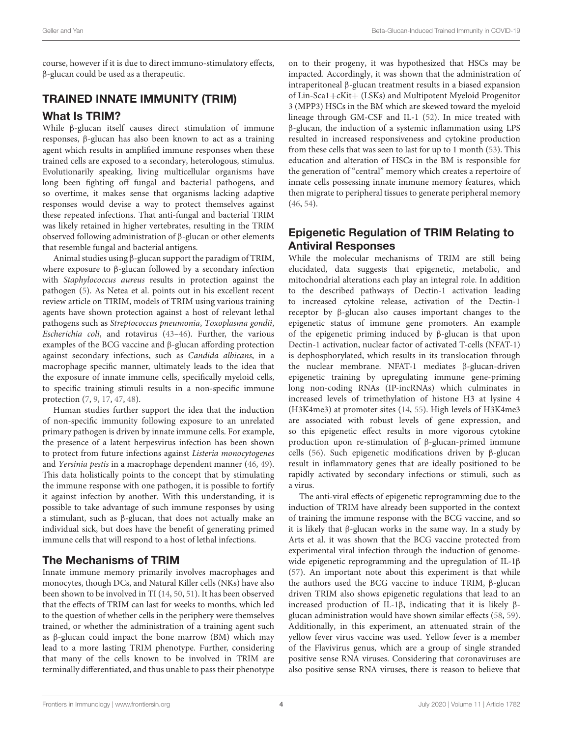course, however if it is due to direct immuno-stimulatory effects, β-glucan could be used as a therapeutic.

#### TRAINED INNATE IMMUNITY (TRIM)

#### What Is TRIM?

While β-glucan itself causes direct stimulation of immune responses, β-glucan has also been known to act as a training agent which results in amplified immune responses when these trained cells are exposed to a secondary, heterologous, stimulus. Evolutionarily speaking, living multicellular organisms have long been fighting off fungal and bacterial pathogens, and so overtime, it makes sense that organisms lacking adaptive responses would devise a way to protect themselves against these repeated infections. That anti-fungal and bacterial TRIM was likely retained in higher vertebrates, resulting in the TRIM observed following administration of β-glucan or other elements that resemble fungal and bacterial antigens.

Animal studies using β-glucan support the paradigm of TRIM, where exposure to β-glucan followed by a secondary infection with Staphylococcus aureus results in protection against the pathogen [\(5\)](#page-7-4). As Netea et al. points out in his excellent recent review article on TIRIM, models of TRIM using various training agents have shown protection against a host of relevant lethal pathogens such as Streptococcus pneumonia, Toxoplasma gondii, Escherichia coli, and rotavirus [\(43](#page-8-9)[–46\)](#page-8-10). Further, the various examples of the BCG vaccine and β-glucan affording protection against secondary infections, such as Candida albicans, in a macrophage specific manner, ultimately leads to the idea that the exposure of innate immune cells, specifically myeloid cells, to specific training stimuli results in a non-specific immune protection [\(7,](#page-7-28) [9,](#page-7-29) [17,](#page-7-12) [47,](#page-8-11) [48\)](#page-8-12).

Human studies further support the idea that the induction of non-specific immunity following exposure to an unrelated primary pathogen is driven by innate immune cells. For example, the presence of a latent herpesvirus infection has been shown to protect from future infections against Listeria monocytogenes and Yersinia pestis in a macrophage dependent manner [\(46,](#page-8-10) [49\)](#page-8-13). This data holistically points to the concept that by stimulating the immune response with one pathogen, it is possible to fortify it against infection by another. With this understanding, it is possible to take advantage of such immune responses by using a stimulant, such as β-glucan, that does not actually make an individual sick, but does have the benefit of generating primed immune cells that will respond to a host of lethal infections.

### The Mechanisms of TRIM

Innate immune memory primarily involves macrophages and monocytes, though DCs, and Natural Killer cells (NKs) have also been shown to be involved in TI [\(14,](#page-7-9) [50,](#page-8-14) [51\)](#page-8-15). It has been observed that the effects of TRIM can last for weeks to months, which led to the question of whether cells in the periphery were themselves trained, or whether the administration of a training agent such as β-glucan could impact the bone marrow (BM) which may lead to a more lasting TRIM phenotype. Further, considering that many of the cells known to be involved in TRIM are terminally differentiated, and thus unable to pass their phenotype

on to their progeny, it was hypothesized that HSCs may be impacted. Accordingly, it was shown that the administration of intraperitoneal β-glucan treatment results in a biased expansion of Lin-Sca1+cKit+ (LSKs) and Multipotent Myeloid Progenitor 3 (MPP3) HSCs in the BM which are skewed toward the myeloid lineage through GM-CSF and IL-1 [\(52\)](#page-8-16). In mice treated with β-glucan, the induction of a systemic inflammation using LPS resulted in increased responsiveness and cytokine production from these cells that was seen to last for up to 1 month [\(53\)](#page-8-17). This education and alteration of HSCs in the BM is responsible for the generation of "central" memory which creates a repertoire of innate cells possessing innate immune memory features, which then migrate to peripheral tissues to generate peripheral memory [\(46,](#page-8-10) [54\)](#page-8-18).

### Epigenetic Regulation of TRIM Relating to Antiviral Responses

While the molecular mechanisms of TRIM are still being elucidated, data suggests that epigenetic, metabolic, and mitochondrial alterations each play an integral role. In addition to the described pathways of Dectin-1 activation leading to increased cytokine release, activation of the Dectin-1 receptor by β-glucan also causes important changes to the epigenetic status of immune gene promoters. An example of the epigenetic priming induced by β-glucan is that upon Dectin-1 activation, nuclear factor of activated T-cells (NFAT-1) is dephosphorylated, which results in its translocation through the nuclear membrane. NFAT-1 mediates β-glucan-driven epigenetic training by upregulating immune gene-priming long non-coding RNAs (IP-incRNAs) which culminates in increased levels of trimethylation of histone H3 at lysine 4 (H3K4me3) at promoter sites [\(14,](#page-7-9) [55\)](#page-8-19). High levels of H3K4me3 are associated with robust levels of gene expression, and so this epigenetic effect results in more vigorous cytokine production upon re-stimulation of β-glucan-primed immune cells [\(56\)](#page-8-20). Such epigenetic modifications driven by β-glucan result in inflammatory genes that are ideally positioned to be rapidly activated by secondary infections or stimuli, such as a virus.

The anti-viral effects of epigenetic reprogramming due to the induction of TRIM have already been supported in the context of training the immune response with the BCG vaccine, and so it is likely that β-glucan works in the same way. In a study by Arts et al. it was shown that the BCG vaccine protected from experimental viral infection through the induction of genomewide epigenetic reprogramming and the upregulation of IL-1β [\(57\)](#page-8-21). An important note about this experiment is that while the authors used the BCG vaccine to induce TRIM, β-glucan driven TRIM also shows epigenetic regulations that lead to an increased production of IL-1β, indicating that it is likely βglucan administration would have shown similar effects [\(58,](#page-8-22) [59\)](#page-8-23). Additionally, in this experiment, an attenuated strain of the yellow fever virus vaccine was used. Yellow fever is a member of the Flavivirus genus, which are a group of single stranded positive sense RNA viruses. Considering that coronaviruses are also positive sense RNA viruses, there is reason to believe that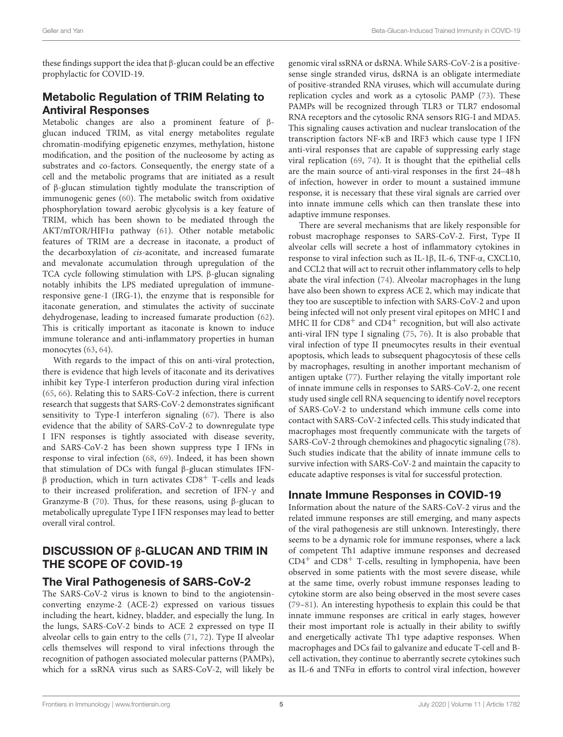these findings support the idea that β-glucan could be an effective prophylactic for COVID-19.

### Metabolic Regulation of TRIM Relating to Antiviral Responses

Metabolic changes are also a prominent feature of βglucan induced TRIM, as vital energy metabolites regulate chromatin-modifying epigenetic enzymes, methylation, histone modification, and the position of the nucleosome by acting as substrates and co-factors. Consequently, the energy state of a cell and the metabolic programs that are initiated as a result of β-glucan stimulation tightly modulate the transcription of immunogenic genes [\(60\)](#page-8-24). The metabolic switch from oxidative phosphorylation toward aerobic glycolysis is a key feature of TRIM, which has been shown to be mediated through the AKT/mTOR/HIF1α pathway [\(61\)](#page-8-25). Other notable metabolic features of TRIM are a decrease in itaconate, a product of the decarboxylation of cis-aconitate, and increased fumarate and mevalonate accumulation through upregulation of the TCA cycle following stimulation with LPS. β-glucan signaling notably inhibits the LPS mediated upregulation of immuneresponsive gene-1 (IRG-1), the enzyme that is responsible for itaconate generation, and stimulates the activity of succinate dehydrogenase, leading to increased fumarate production [\(62\)](#page-8-26). This is critically important as itaconate is known to induce immune tolerance and anti-inflammatory properties in human monocytes [\(63,](#page-8-27) [64\)](#page-8-28).

With regards to the impact of this on anti-viral protection, there is evidence that high levels of itaconate and its derivatives inhibit key Type-I interferon production during viral infection [\(65,](#page-8-29) [66\)](#page-8-30). Relating this to SARS-CoV-2 infection, there is current research that suggests that SARS-CoV-2 demonstrates significant sensitivity to Type-I interferon signaling [\(67\)](#page-8-31). There is also evidence that the ability of SARS-CoV-2 to downregulate type I IFN responses is tightly associated with disease severity, and SARS-CoV-2 has been shown suppress type I IFNs in response to viral infection [\(68,](#page-8-32) [69\)](#page-8-33). Indeed, it has been shown that stimulation of DCs with fungal β-glucan stimulates IFN $β$  production, which in turn activates CD8<sup>+</sup> T-cells and leads to their increased proliferation, and secretion of IFN-γ and Granzyme-B [\(70\)](#page-8-34). Thus, for these reasons, using β-glucan to metabolically upregulate Type I IFN responses may lead to better overall viral control.

### DISCUSSION OF β-GLUCAN AND TRIM IN THE SCOPE OF COVID-19

#### The Viral Pathogenesis of SARS-CoV-2

The SARS-CoV-2 virus is known to bind to the angiotensinconverting enzyme-2 (ACE-2) expressed on various tissues including the heart, kidney, bladder, and especially the lung. In the lungs, SARS-CoV-2 binds to ACE 2 expressed on type II alveolar cells to gain entry to the cells [\(71,](#page-9-0) [72\)](#page-9-1). Type II alveolar cells themselves will respond to viral infections through the recognition of pathogen associated molecular patterns (PAMPs), which for a ssRNA virus such as SARS-CoV-2, will likely be genomic viral ssRNA or dsRNA. While SARS-CoV-2 is a positivesense single stranded virus, dsRNA is an obligate intermediate of positive-stranded RNA viruses, which will accumulate during replication cycles and work as a cytosolic PAMP [\(73\)](#page-9-2). These PAMPs will be recognized through TLR3 or TLR7 endosomal RNA receptors and the cytosolic RNA sensors RIG-I and MDA5. This signaling causes activation and nuclear translocation of the transcription factors NF-κB and IRF3 which cause type I IFN anti-viral responses that are capable of suppressing early stage viral replication [\(69,](#page-8-33) [74\)](#page-9-3). It is thought that the epithelial cells are the main source of anti-viral responses in the first 24–48 h of infection, however in order to mount a sustained immune response, it is necessary that these viral signals are carried over into innate immune cells which can then translate these into adaptive immune responses.

There are several mechanisms that are likely responsible for robust macrophage responses to SARS-CoV-2. First, Type II alveolar cells will secrete a host of inflammatory cytokines in response to viral infection such as IL-1β, IL-6, TNF-α, CXCL10, and CCL2 that will act to recruit other inflammatory cells to help abate the viral infection [\(74\)](#page-9-3). Alveolar macrophages in the lung have also been shown to express ACE 2, which may indicate that they too are susceptible to infection with SARS-CoV-2 and upon being infected will not only present viral epitopes on MHC I and MHC II for  $CD8<sup>+</sup>$  and  $CD4<sup>+</sup>$  recognition, but will also activate anti-viral IFN type I signaling [\(75,](#page-9-4) [76\)](#page-9-5). It is also probable that viral infection of type II pneumocytes results in their eventual apoptosis, which leads to subsequent phagocytosis of these cells by macrophages, resulting in another important mechanism of antigen uptake [\(77\)](#page-9-6). Further relaying the vitally important role of innate immune cells in responses to SARS-CoV-2, one recent study used single cell RNA sequencing to identify novel receptors of SARS-CoV-2 to understand which immune cells come into contact with SARS-CoV-2 infected cells. This study indicated that macrophages most frequently communicate with the targets of SARS-CoV-2 through chemokines and phagocytic signaling [\(78\)](#page-9-7). Such studies indicate that the ability of innate immune cells to survive infection with SARS-CoV-2 and maintain the capacity to educate adaptive responses is vital for successful protection.

### Innate Immune Responses in COVID-19

Information about the nature of the SARS-CoV-2 virus and the related immune responses are still emerging, and many aspects of the viral pathogenesis are still unknown. Interestingly, there seems to be a dynamic role for immune responses, where a lack of competent Th1 adaptive immune responses and decreased  $CD4^+$  and  $CD8^+$  T-cells, resulting in lymphopenia, have been observed in some patients with the most severe disease, while at the same time, overly robust immune responses leading to cytokine storm are also being observed in the most severe cases [\(79](#page-9-8)[–81\)](#page-9-9). An interesting hypothesis to explain this could be that innate immune responses are critical in early stages, however their most important role is actually in their ability to swiftly and energetically activate Th1 type adaptive responses. When macrophages and DCs fail to galvanize and educate T-cell and Bcell activation, they continue to aberrantly secrete cytokines such as IL-6 and TNFα in efforts to control viral infection, however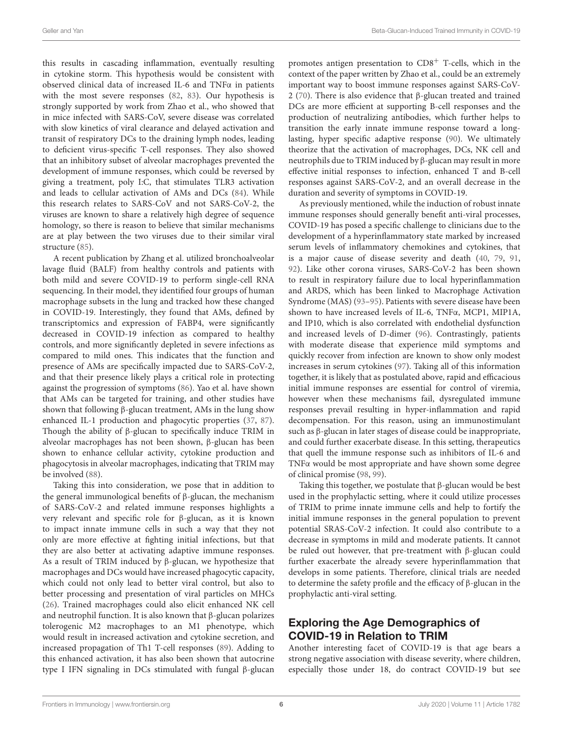this results in cascading inflammation, eventually resulting in cytokine storm. This hypothesis would be consistent with observed clinical data of increased IL-6 and TNFα in patients with the most severe responses [\(82,](#page-9-10) [83\)](#page-9-11). Our hypothesis is strongly supported by work from Zhao et al., who showed that in mice infected with SARS-CoV, severe disease was correlated with slow kinetics of viral clearance and delayed activation and transit of respiratory DCs to the draining lymph nodes, leading to deficient virus-specific T-cell responses. They also showed that an inhibitory subset of alveolar macrophages prevented the development of immune responses, which could be reversed by giving a treatment, poly I:C, that stimulates TLR3 activation and leads to cellular activation of AMs and DCs [\(84\)](#page-9-12). While this research relates to SARS-CoV and not SARS-CoV-2, the viruses are known to share a relatively high degree of sequence homology, so there is reason to believe that similar mechanisms are at play between the two viruses due to their similar viral structure [\(85\)](#page-9-13).

A recent publication by Zhang et al. utilized bronchoalveolar lavage fluid (BALF) from healthy controls and patients with both mild and severe COVID-19 to perform single-cell RNA sequencing. In their model, they identified four groups of human macrophage subsets in the lung and tracked how these changed in COVID-19. Interestingly, they found that AMs, defined by transcriptomics and expression of FABP4, were significantly decreased in COVID-19 infection as compared to healthy controls, and more significantly depleted in severe infections as compared to mild ones. This indicates that the function and presence of AMs are specifically impacted due to SARS-CoV-2, and that their presence likely plays a critical role in protecting against the progression of symptoms [\(86\)](#page-9-14). Yao et al. have shown that AMs can be targeted for training, and other studies have shown that following β-glucan treatment, AMs in the lung show enhanced IL-1 production and phagocytic properties [\(37,](#page-8-3) [87\)](#page-9-15). Though the ability of β-glucan to specifically induce TRIM in alveolar macrophages has not been shown, β-glucan has been shown to enhance cellular activity, cytokine production and phagocytosis in alveolar macrophages, indicating that TRIM may be involved [\(88\)](#page-9-16).

Taking this into consideration, we pose that in addition to the general immunological benefits of β-glucan, the mechanism of SARS-CoV-2 and related immune responses highlights a very relevant and specific role for β-glucan, as it is known to impact innate immune cells in such a way that they not only are more effective at fighting initial infections, but that they are also better at activating adaptive immune responses. As a result of TRIM induced by β-glucan, we hypothesize that macrophages and DCs would have increased phagocytic capacity, which could not only lead to better viral control, but also to better processing and presentation of viral particles on MHCs [\(26\)](#page-7-16). Trained macrophages could also elicit enhanced NK cell and neutrophil function. It is also known that β-glucan polarizes tolerogenic M2 macrophages to an M1 phenotype, which would result in increased activation and cytokine secretion, and increased propagation of Th1 T-cell responses [\(89\)](#page-9-17). Adding to this enhanced activation, it has also been shown that autocrine type I IFN signaling in DCs stimulated with fungal β-glucan promotes antigen presentation to  $CD8<sup>+</sup>$  T-cells, which in the context of the paper written by Zhao et al., could be an extremely important way to boost immune responses against SARS-CoV-2 [\(70\)](#page-8-34). There is also evidence that β-glucan treated and trained DCs are more efficient at supporting B-cell responses and the production of neutralizing antibodies, which further helps to transition the early innate immune response toward a longlasting, hyper specific adaptive response [\(90\)](#page-9-18). We ultimately theorize that the activation of macrophages, DCs, NK cell and neutrophils due to TRIM induced by β-glucan may result in more effective initial responses to infection, enhanced T and B-cell responses against SARS-CoV-2, and an overall decrease in the duration and severity of symptoms in COVID-19.

As previously mentioned, while the induction of robust innate immune responses should generally benefit anti-viral processes, COVID-19 has posed a specific challenge to clinicians due to the development of a hyperinflammatory state marked by increased serum levels of inflammatory chemokines and cytokines, that is a major cause of disease severity and death [\(40,](#page-8-6) [79,](#page-9-8) [91,](#page-9-19) [92\)](#page-9-20). Like other corona viruses, SARS-CoV-2 has been shown to result in respiratory failure due to local hyperinflammation and ARDS, which has been linked to Macrophage Activation Syndrome (MAS) [\(93](#page-9-21)[–95\)](#page-9-22). Patients with severe disease have been shown to have increased levels of IL-6, TNFα, MCP1, MIP1A, and IP10, which is also correlated with endothelial dysfunction and increased levels of D-dimer [\(96\)](#page-9-23). Contrastingly, patients with moderate disease that experience mild symptoms and quickly recover from infection are known to show only modest increases in serum cytokines [\(97\)](#page-9-24). Taking all of this information together, it is likely that as postulated above, rapid and efficacious initial immune responses are essential for control of viremia, however when these mechanisms fail, dysregulated immune responses prevail resulting in hyper-inflammation and rapid decompensation. For this reason, using an immunostimulant such as β-glucan in later stages of disease could be inappropriate, and could further exacerbate disease. In this setting, therapeutics that quell the immune response such as inhibitors of IL-6 and TNFα would be most appropriate and have shown some degree of clinical promise [\(98,](#page-9-25) [99\)](#page-9-26).

Taking this together, we postulate that β-glucan would be best used in the prophylactic setting, where it could utilize processes of TRIM to prime innate immune cells and help to fortify the initial immune responses in the general population to prevent potential SRAS-CoV-2 infection. It could also contribute to a decrease in symptoms in mild and moderate patients. It cannot be ruled out however, that pre-treatment with β-glucan could further exacerbate the already severe hyperinflammation that develops in some patients. Therefore, clinical trials are needed to determine the safety profile and the efficacy of β-glucan in the prophylactic anti-viral setting.

### Exploring the Age Demographics of COVID-19 in Relation to TRIM

Another interesting facet of COVID-19 is that age bears a strong negative association with disease severity, where children, especially those under 18, do contract COVID-19 but see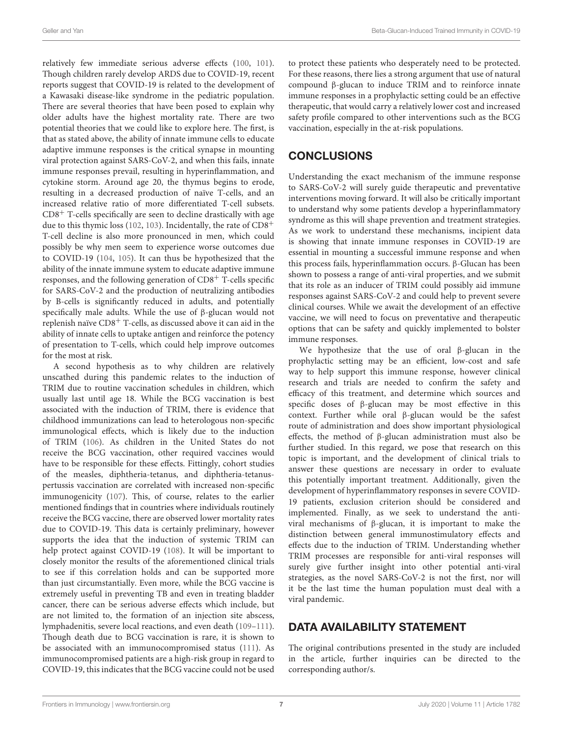relatively few immediate serious adverse effects [\(100,](#page-9-27) [101\)](#page-9-28). Though children rarely develop ARDS due to COVID-19, recent reports suggest that COVID-19 is related to the development of a Kawasaki disease-like syndrome in the pediatric population. There are several theories that have been posed to explain why older adults have the highest mortality rate. There are two potential theories that we could like to explore here. The first, is that as stated above, the ability of innate immune cells to educate adaptive immune responses is the critical synapse in mounting viral protection against SARS-CoV-2, and when this fails, innate immune responses prevail, resulting in hyperinflammation, and cytokine storm. Around age 20, the thymus begins to erode, resulting in a decreased production of naïve T-cells, and an increased relative ratio of more differentiated T-cell subsets.  $CD8<sup>+</sup>$  T-cells specifically are seen to decline drastically with age due to this thymic loss [\(102,](#page-9-29) [103\)](#page-9-30). Incidentally, the rate of CD8<sup>+</sup> T-cell decline is also more pronounced in men, which could possibly be why men seem to experience worse outcomes due to COVID-19 [\(104,](#page-9-31) [105\)](#page-9-32). It can thus be hypothesized that the ability of the innate immune system to educate adaptive immune responses, and the following generation of CD8<sup>+</sup> T-cells specific for SARS-CoV-2 and the production of neutralizing antibodies by B-cells is significantly reduced in adults, and potentially specifically male adults. While the use of β-glucan would not replenish naïve CD8<sup>+</sup> T-cells, as discussed above it can aid in the ability of innate cells to uptake antigen and reinforce the potency of presentation to T-cells, which could help improve outcomes for the most at risk.

A second hypothesis as to why children are relatively unscathed during this pandemic relates to the induction of TRIM due to routine vaccination schedules in children, which usually last until age 18. While the BCG vaccination is best associated with the induction of TRIM, there is evidence that childhood immunizations can lead to heterologous non-specific immunological effects, which is likely due to the induction of TRIM [\(106\)](#page-9-33). As children in the United States do not receive the BCG vaccination, other required vaccines would have to be responsible for these effects. Fittingly, cohort studies of the measles, diphtheria-tetanus, and diphtheria-tetanuspertussis vaccination are correlated with increased non-specific immunogenicity [\(107\)](#page-9-34). This, of course, relates to the earlier mentioned findings that in countries where individuals routinely receive the BCG vaccine, there are observed lower mortality rates due to COVID-19. This data is certainly preliminary, however supports the idea that the induction of systemic TRIM can help protect against COVID-19 [\(108\)](#page-9-35). It will be important to closely monitor the results of the aforementioned clinical trials to see if this correlation holds and can be supported more than just circumstantially. Even more, while the BCG vaccine is extremely useful in preventing TB and even in treating bladder cancer, there can be serious adverse effects which include, but are not limited to, the formation of an injection site abscess, lymphadenitis, severe local reactions, and even death [\(109](#page-10-0)[–111\)](#page-10-1). Though death due to BCG vaccination is rare, it is shown to be associated with an immunocompromised status [\(111\)](#page-10-1). As immunocompromised patients are a high-risk group in regard to COVID-19, this indicates that the BCG vaccine could not be used to protect these patients who desperately need to be protected. For these reasons, there lies a strong argument that use of natural compound β-glucan to induce TRIM and to reinforce innate immune responses in a prophylactic setting could be an effective therapeutic, that would carry a relatively lower cost and increased safety profile compared to other interventions such as the BCG vaccination, especially in the at-risk populations.

### **CONCLUSIONS**

Understanding the exact mechanism of the immune response to SARS-CoV-2 will surely guide therapeutic and preventative interventions moving forward. It will also be critically important to understand why some patients develop a hyperinflammatory syndrome as this will shape prevention and treatment strategies. As we work to understand these mechanisms, incipient data is showing that innate immune responses in COVID-19 are essential in mounting a successful immune response and when this process fails, hyperinflammation occurs. β-Glucan has been shown to possess a range of anti-viral properties, and we submit that its role as an inducer of TRIM could possibly aid immune responses against SARS-CoV-2 and could help to prevent severe clinical courses. While we await the development of an effective vaccine, we will need to focus on preventative and therapeutic options that can be safety and quickly implemented to bolster immune responses.

We hypothesize that the use of oral β-glucan in the prophylactic setting may be an efficient, low-cost and safe way to help support this immune response, however clinical research and trials are needed to confirm the safety and efficacy of this treatment, and determine which sources and specific doses of β-glucan may be most effective in this context. Further while oral β-glucan would be the safest route of administration and does show important physiological effects, the method of β-glucan administration must also be further studied. In this regard, we pose that research on this topic is important, and the development of clinical trials to answer these questions are necessary in order to evaluate this potentially important treatment. Additionally, given the development of hyperinflammatory responses in severe COVID-19 patients, exclusion criterion should be considered and implemented. Finally, as we seek to understand the antiviral mechanisms of β-glucan, it is important to make the distinction between general immunostimulatory effects and effects due to the induction of TRIM. Understanding whether TRIM processes are responsible for anti-viral responses will surely give further insight into other potential anti-viral strategies, as the novel SARS-CoV-2 is not the first, nor will it be the last time the human population must deal with a viral pandemic.

### DATA AVAILABILITY STATEMENT

The original contributions presented in the study are included in the article, further inquiries can be directed to the corresponding author/s.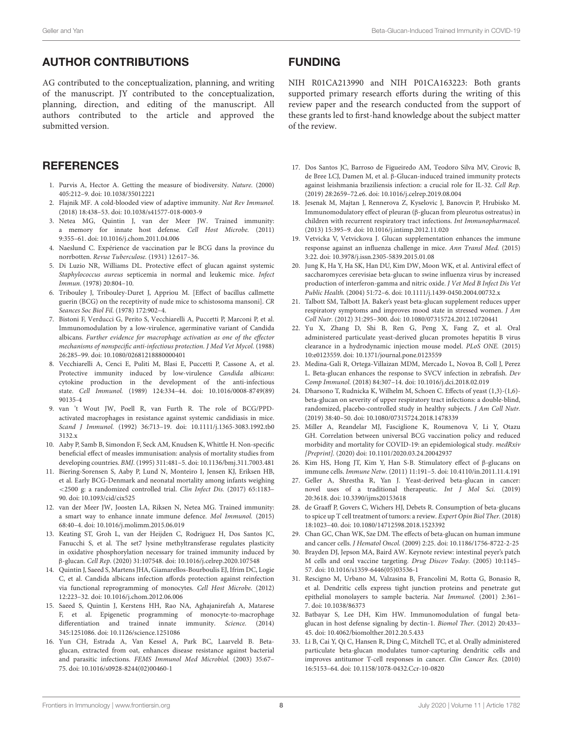#### AUTHOR CONTRIBUTIONS

AG contributed to the conceptualization, planning, and writing of the manuscript. JY contributed to the conceptualization, planning, direction, and editing of the manuscript. All authors contributed to the article and approved the submitted version.

#### **REFERENCES**

- <span id="page-7-0"></span>1. Purvis A, Hector A. Getting the measure of biodiversity. Nature. (2000) 405:212–9. doi: [10.1038/35012221](https://doi.org/10.1038/35012221)
- <span id="page-7-1"></span>2. Flajnik MF. A cold-blooded view of adaptive immunity. Nat Rev Immunol. (2018) 18:438–53. doi: [10.1038/s41577-018-0003-9](https://doi.org/10.1038/s41577-018-0003-9)
- <span id="page-7-2"></span>3. Netea MG, Quintin J, van der Meer JW. Trained immunity: a memory for innate host defense. Cell Host Microbe. (2011) 9:355–61. doi: [10.1016/j.chom.2011.04.006](https://doi.org/10.1016/j.chom.2011.04.006)
- <span id="page-7-3"></span>4. Naeslund C. Expérience de vaccination par le BCG dans la province du norrbotten. Revue Tuberculose. (1931) 12:617–36.
- <span id="page-7-4"></span>5. Di Luzio NR, Williams DL. Protective effect of glucan against systemic Staphylococcus aureus septicemia in normal and leukemic mice. Infect Immun. (1978) 20:804–10.
- 6. Tribouley J, Tribouley-Duret J, Appriou M. [Effect of bacillus callmette guerin (BCG) on the receptivity of nude mice to schistosoma mansoni]. CR Seances Soc Biol Fil. (1978) 172:902–4.
- <span id="page-7-28"></span>7. Bistoni F, Verducci G, Perito S, Vecchiarelli A, Puccetti P, Marconi P, et al. Immunomodulation by a low-virulence, agerminative variant of Candida albicans. Further evidence for macrophage activation as one of the effector mechanisms of nonspecific anti-infectious protection. J Med Vet Mycol. (1988) 26:285–99. doi: [10.1080/02681218880000401](https://doi.org/10.1080/02681218880000401)
- 8. Vecchiarelli A, Cenci E, Puliti M, Blasi E, Puccetti P, Cassone A, et al. Protective immunity induced by low-virulence Candida albicans: cytokine production in the development of the anti-infectious state. Cell Immunol. [\(1989\) 124:334–44. doi: 10.1016/0008-8749\(89\)](https://doi.org/10.1016/0008-8749(89)90135-4) 90135-4
- <span id="page-7-29"></span>9. van 't Wout JW, Poell R, van Furth R. The role of BCG/PPDactivated macrophages in resistance against systemic candidiasis in mice. Scand J Immunol. [\(1992\) 36:713–19. doi: 10.1111/j.1365-3083.1992.tb0](https://doi.org/10.1111/j.1365-3083.1992.tb03132.x) 3132.x
- <span id="page-7-5"></span>10. Aaby P, Samb B, Simondon F, Seck AM, Knudsen K, Whittle H. Non-specific beneficial effect of measles immunisation: analysis of mortality studies from developing countries. BMJ. (1995) 311:481–5. doi: [10.1136/bmj.311.7003.481](https://doi.org/10.1136/bmj.311.7003.481)
- <span id="page-7-6"></span>11. Biering-Sorensen S, Aaby P, Lund N, Monteiro I, Jensen KJ, Eriksen HB, et al. Early BCG-Denmark and neonatal mortality among infants weighing <2500 g: a randomized controlled trial. Clin Infect Dis. (2017) 65:1183– 90. doi: [10.1093/cid/cix525](https://doi.org/10.1093/cid/cix525)
- <span id="page-7-7"></span>12. van der Meer JW, Joosten LA, Riksen N, Netea MG. Trained immunity: a smart way to enhance innate immune defence. Mol Immunol. (2015) 68:40–4. doi: [10.1016/j.molimm.2015.06.019](https://doi.org/10.1016/j.molimm.2015.06.019)
- <span id="page-7-8"></span>13. Keating ST, Groh L, van der Heijden C, Rodriguez H, Dos Santos JC, Fanucchi S, et al. The set7 lysine methyltransferase regulates plasticity in oxidative phosphorylation necessary for trained immunity induced by β-glucan. Cell Rep. (2020) 31:107548. doi: [10.1016/j.celrep.2020.107548](https://doi.org/10.1016/j.celrep.2020.107548)
- <span id="page-7-9"></span>14. Quintin J, Saeed S, Martens JHA, Giamarellos-Bourboulis EJ, Ifrim DC, Logie C, et al. Candida albicans infection affords protection against reinfection via functional reprogramming of monocytes. Cell Host Microbe. (2012) 12:223–32. doi: [10.1016/j.chom.2012.06.006](https://doi.org/10.1016/j.chom.2012.06.006)
- <span id="page-7-10"></span>15. Saeed S, Quintin J, Kerstens HH, Rao NA, Aghajanirefah A, Matarese F, et al. Epigenetic programming of monocyte-to-macrophage differentiation and trained innate immunity. Science. (2014) 345:1251086. doi: [10.1126/science.1251086](https://doi.org/10.1126/science.1251086)
- <span id="page-7-11"></span>16. Yun CH, Estrada A, Van Kessel A, Park BC, Laarveld B. Betaglucan, extracted from oat, enhances disease resistance against bacterial and parasitic infections. FEMS Immunol Med Microbiol. (2003) 35:67– 75. doi: [10.1016/s0928-8244\(02\)00460-1](https://doi.org/10.1016/s0928-8244(02)00460-1)

#### FUNDING

NIH R01CA213990 and NIH P01CA163223: Both grants supported primary research efforts during the writing of this review paper and the research conducted from the support of these grants led to first-hand knowledge about the subject matter of the review.

- <span id="page-7-12"></span>17. Dos Santos JC, Barroso de Figueiredo AM, Teodoro Silva MV, Cirovic B, de Bree LCJ, Damen M, et al. β-Glucan-induced trained immunity protects against leishmania braziliensis infection: a crucial role for IL-32. Cell Rep. (2019) 28:2659–72.e6. doi: [10.1016/j.celrep.2019.08.004](https://doi.org/10.1016/j.celrep.2019.08.004)
- <span id="page-7-13"></span>18. Jesenak M, Majtan J, Rennerova Z, Kyselovic J, Banovcin P, Hrubisko M. Immunomodulatory effect of pleuran (β-glucan from pleurotus ostreatus) in children with recurrent respiratory tract infections. Int Immunopharmacol. (2013) 15:395–9. doi: [10.1016/j.intimp.2012.11.020](https://doi.org/10.1016/j.intimp.2012.11.020)
- <span id="page-7-24"></span>19. Vetvicka V, Vetvickova J. Glucan supplementation enhances the immune response against an influenza challenge in mice. Ann Transl Med. (2015) 3:22. doi: [10.3978/j.issn.2305-5839.2015.01.08](https://doi.org/10.3978/j.issn.2305-5839.2015.01.08)
- <span id="page-7-26"></span>20. Jung K, Ha Y, Ha SK, Han DU, Kim DW, Moon WK, et al. Antiviral effect of saccharomyces cerevisiae beta-glucan to swine influenza virus by increased production of interferon-gamma and nitric oxide. J Vet Med B Infect Dis Vet Public Health. (2004) 51:72–6. doi: [10.1111/j.1439-0450.2004.00732.x](https://doi.org/10.1111/j.1439-0450.2004.00732.x)
- <span id="page-7-25"></span>21. Talbott SM, Talbott JA. Baker's yeast beta-glucan supplement reduces upper respiratory symptoms and improves mood state in stressed women. J Am Coll Nutr. (2012) 31:295–300. doi: [10.1080/07315724.2012.10720441](https://doi.org/10.1080/07315724.2012.10720441)
- 22. Yu X, Zhang D, Shi B, Ren G, Peng X, Fang Z, et al. Oral administered particulate yeast-derived glucan promotes hepatitis B virus clearance in a hydrodynamic injection mouse model. PLoS ONE. (2015) 10:e0123559. doi: [10.1371/journal.pone.0123559](https://doi.org/10.1371/journal.pone.0123559)
- <span id="page-7-27"></span>23. Medina-Gali R, Ortega-Villaizan MDM, Mercado L, Novoa B, Coll J, Perez L. Beta-glucan enhances the response to SVCV infection in zebrafish. Dev Comp Immunol. (2018) 84:307–14. doi: [10.1016/j.dci.2018.02.019](https://doi.org/10.1016/j.dci.2018.02.019)
- <span id="page-7-14"></span>24. Dharsono T, Rudnicka K, Wilhelm M, Schoen C. Effects of yeast (1,3)-(1,6) beta-glucan on severity of upper respiratory tract infections: a double-blind, randomized, placebo-controlled study in healthy subjects. J Am Coll Nutr. (2019) 38:40–50. doi: [10.1080/07315724.2018.1478339](https://doi.org/10.1080/07315724.2018.1478339)
- <span id="page-7-15"></span>25. Miller A, Reandelar MJ, Fasciglione K, Roumenova V, Li Y, Otazu GH. Correlation between universal BCG vaccination policy and reduced morbidity and mortality for COVID-19: an epidemiological study. medRxiv [Preprint]. (2020) doi: [10.1101/2020.03.24.20042937](https://doi.org/10.1101/2020.03.24.20042937)
- <span id="page-7-16"></span>26. Kim HS, Hong JT, Kim Y, Han S-B. Stimulatory effect of β-glucans on immune cells. Immune Netw. (2011) 11:191–5. doi: [10.4110/in.2011.11.4.191](https://doi.org/10.4110/in.2011.11.4.191)
- <span id="page-7-17"></span>27. Geller A, Shrestha R, Yan J. Yeast-derived beta-glucan in cancer: novel uses of a traditional therapeutic. Int J Mol Sci. (2019) 20:3618. doi: [10.3390/ijms20153618](https://doi.org/10.3390/ijms20153618)
- <span id="page-7-18"></span>28. de Graaff P, Govers C, Wichers HJ, Debets R. Consumption of beta-glucans to spice up T cell treatment of tumors: a review. Expert Opin Biol Ther. (2018) 18:1023–40. doi: [10.1080/14712598.2018.1523392](https://doi.org/10.1080/14712598.2018.1523392)
- <span id="page-7-19"></span>29. Chan GC, Chan WK, Sze DM. The effects of beta-glucan on human immune and cancer cells. J Hematol Oncol. (2009) 2:25. doi: [10.1186/1756-8722-2-25](https://doi.org/10.1186/1756-8722-2-25)
- <span id="page-7-20"></span>30. Brayden DJ, Jepson MA, Baird AW. Keynote review: intestinal peyer's patch M cells and oral vaccine targeting. Drug Discov Today. (2005) 10:1145– 57. doi: [10.1016/s1359-6446\(05\)03536-1](https://doi.org/10.1016/s1359-6446(05)03536-1)
- <span id="page-7-21"></span>31. Rescigno M, Urbano M, Valzasina B, Francolini M, Rotta G, Bonasio R, et al. Dendritic cells express tight junction proteins and penetrate gut epithelial monolayers to sample bacteria. Nat Immunol. (2001) 2:361– 7. doi: [10.1038/86373](https://doi.org/10.1038/86373)
- <span id="page-7-22"></span>32. Batbayar S, Lee DH, Kim HW. Immunomodulation of fungal betaglucan in host defense signaling by dectin-1. Biomol Ther. (2012) 20:433– 45. doi: [10.4062/biomolther.2012.20.5.433](https://doi.org/10.4062/biomolther.2012.20.5.433)
- <span id="page-7-23"></span>33. Li B, Cai Y, Qi C, Hansen R, Ding C, Mitchell TC, et al. Orally administered particulate beta-glucan modulates tumor-capturing dendritic cells and improves antitumor T-cell responses in cancer. Clin Cancer Res. (2010) 16:5153–64. doi: [10.1158/1078-0432.Ccr-10-0820](https://doi.org/10.1158/1078-0432.Ccr-10-0820)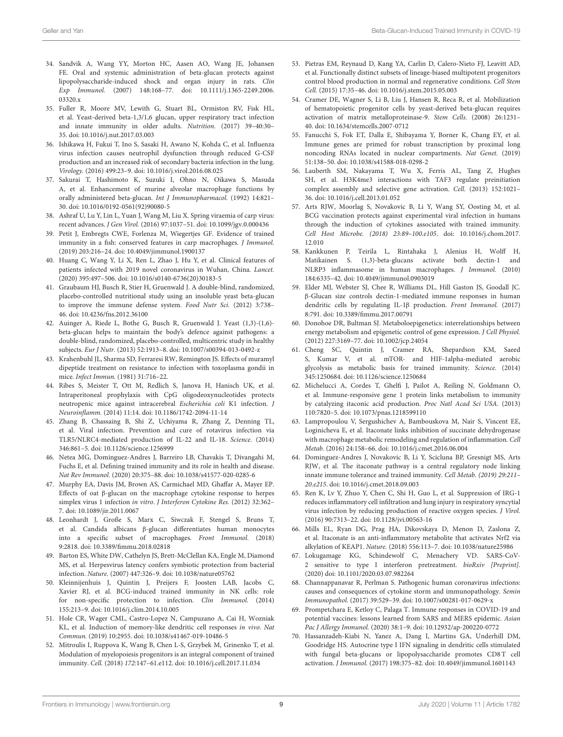- <span id="page-8-0"></span>34. Sandvik A, Wang YY, Morton HC, Aasen AO, Wang JE, Johansen FE. Oral and systemic administration of beta-glucan protects against lipopolysaccharide-induced shock and organ injury in rats. Clin Exp Immunol. [\(2007\) 148:168–77. doi: 10.1111/j.1365-2249.2006.](https://doi.org/10.1111/j.1365-2249.2006.03320.x) 03320 x
- <span id="page-8-1"></span>35. Fuller R, Moore MV, Lewith G, Stuart BL, Ormiston RV, Fisk HL, et al. Yeast-derived beta-1,3/1,6 glucan, upper respiratory tract infection and innate immunity in older adults. Nutrition. (2017) 39–40:30– 35. doi: [10.1016/j.nut.2017.03.003](https://doi.org/10.1016/j.nut.2017.03.003)
- <span id="page-8-2"></span>36. Ishikawa H, Fukui T, Ino S, Sasaki H, Awano N, Kohda C, et al. Influenza virus infection causes neutrophil dysfunction through reduced G-CSF production and an increased risk of secondary bacteria infection in the lung. Virology. (2016) 499:23–9. doi: [10.1016/j.virol.2016.08.025](https://doi.org/10.1016/j.virol.2016.08.025)
- <span id="page-8-3"></span>37. Sakurai T, Hashimoto K, Suzuki I, Ohno N, Oikawa S, Masuda A, et al. Enhancement of murine alveolar macrophage functions by orally administered beta-glucan. Int J Immunopharmacol. (1992) 14:821– 30. doi: [10.1016/0192-0561\(92\)90080-5](https://doi.org/10.1016/0192-0561(92)90080-5)
- <span id="page-8-4"></span>38. Ashraf U, Lu Y, Lin L, Yuan J, Wang M, Liu X. Spring viraemia of carp virus: recent advances. J Gen Virol. (2016) 97:1037–51. doi: [10.1099/jgv.0.000436](https://doi.org/10.1099/jgv.0.000436)
- <span id="page-8-5"></span>39. Petit J, Embregts CWE, Forlenza M, Wiegertjes GF. Evidence of trained immunity in a fish: conserved features in carp macrophages. J Immunol. (2019) 203:216–24. doi: [10.4049/jimmunol.1900137](https://doi.org/10.4049/jimmunol.1900137)
- <span id="page-8-6"></span>40. Huang C, Wang Y, Li X, Ren L, Zhao J, Hu Y, et al. Clinical features of patients infected with 2019 novel coronavirus in Wuhan, China. Lancet. (2020) 395:497–506. doi: [10.1016/s0140-6736\(20\)30183-5](https://doi.org/10.1016/s0140-6736(20)30183-5)
- <span id="page-8-7"></span>41. Graubaum HJ, Busch R, Stier H, Gruenwald J. A double-blind, randomized, placebo-controlled nutritional study using an insoluble yeast beta-glucan to improve the immune defense system. Food Nutr Sci. (2012) 3:738– 46. doi: [10.4236/fns.2012.36100](https://doi.org/10.4236/fns.2012.36100)
- <span id="page-8-8"></span>42. Auinger A, Riede L, Bothe G, Busch R, Gruenwald J. Yeast (1,3)-(1,6) beta-glucan helps to maintain the body's defence against pathogens: a double-blind, randomized, placebo-controlled, multicentric study in healthy subjects. Eur J Nutr. (2013) 52:1913–8. doi: [10.1007/s00394-013-0492-z](https://doi.org/10.1007/s00394-013-0492-z)
- <span id="page-8-9"></span>43. Krahenbuhl JL, Sharma SD, Ferraresi RW, Remington JS. Effects of muramyl dipeptide treatment on resistance to infection with toxoplasma gondii in mice. Infect Immun. (1981) 31:716–22.
- 44. Ribes S, Meister T, Ott M, Redlich S, Janova H, Hanisch UK, et al. Intraperitoneal prophylaxis with CpG oligodeoxynucleotides protects neutropenic mice against intracerebral Escherichia coli K1 infection. J Neuroinflamm. (2014) 11:14. doi: [10.1186/1742-2094-11-14](https://doi.org/10.1186/1742-2094-11-14)
- 45. Zhang B, Chassaing B, Shi Z, Uchiyama R, Zhang Z, Denning TL, et al. Viral infection. Prevention and cure of rotavirus infection via TLR5/NLRC4-mediated production of IL-22 and IL-18. Science. (2014) 346:861–5. doi: [10.1126/science.1256999](https://doi.org/10.1126/science.1256999)
- <span id="page-8-10"></span>46. Netea MG, Dominguez-Andres J, Barreiro LB, Chavakis T, Divangahi M, Fuchs E, et al. Defining trained immunity and its role in health and disease. Nat Rev Immunol. (2020) 20:375–88. doi: [10.1038/s41577-020-0285-6](https://doi.org/10.1038/s41577-020-0285-6)
- <span id="page-8-11"></span>47. Murphy EA, Davis JM, Brown AS, Carmichael MD, Ghaffar A, Mayer EP. Effects of oat β-glucan on the macrophage cytokine response to herpes simplex virus 1 infection in vitro. J Interferon Cytokine Res. (2012) 32:362– 7. doi: [10.1089/jir.2011.0067](https://doi.org/10.1089/jir.2011.0067)
- <span id="page-8-12"></span>48. Leonhardt J, Große S, Marx C, Siwczak F, Stengel S, Bruns T, et al. Candida albicans β-glucan differentiates human monocytes into a specific subset of macrophages. Front Immunol. (2018) 9:2818. doi: [10.3389/fimmu.2018.02818](https://doi.org/10.3389/fimmu.2018.02818)
- <span id="page-8-13"></span>49. Barton ES, White DW, Cathelyn JS, Brett-McClellan KA, Engle M, Diamond MS, et al. Herpesvirus latency confers symbiotic protection from bacterial infection. Nature. (2007) 447:326–9. doi: [10.1038/nature05762](https://doi.org/10.1038/nature05762)
- <span id="page-8-14"></span>50. Kleinnijenhuis J, Quintin J, Preijers F, Joosten LAB, Jacobs C, Xavier RJ, et al. BCG-induced trained immunity in NK cells: role for non-specific protection to infection. Clin Immunol. (2014) 155:213–9. doi: [10.1016/j.clim.2014.10.005](https://doi.org/10.1016/j.clim.2014.10.005)
- <span id="page-8-15"></span>51. Hole CR, Wager CML, Castro-Lopez N, Campuzano A, Cai H, Wozniak KL, et al. Induction of memory-like dendritic cell responses in vivo. Nat Commun. (2019) 10:2955. doi: [10.1038/s41467-019-10486-5](https://doi.org/10.1038/s41467-019-10486-5)
- <span id="page-8-16"></span>52. Mitroulis I, Ruppova K, Wang B, Chen L-S, Grzybek M, Grinenko T, et al. Modulation of myelopoiesis progenitors is an integral component of trained immunity. Cell. (2018) 172:147–61.e112. doi: [10.1016/j.cell.2017.11.034](https://doi.org/10.1016/j.cell.2017.11.034)
- <span id="page-8-17"></span>53. Pietras EM, Reynaud D, Kang YA, Carlin D, Calero-Nieto FJ, Leavitt AD, et al. Functionally distinct subsets of lineage-biased multipotent progenitors control blood production in normal and regenerative conditions. Cell Stem Cell. (2015) 17:35–46. doi: [10.1016/j.stem.2015.05.003](https://doi.org/10.1016/j.stem.2015.05.003)
- <span id="page-8-18"></span>54. Cramer DE, Wagner S, Li B, Liu J, Hansen R, Reca R, et al. Mobilization of hematopoietic progenitor cells by yeast-derived beta-glucan requires activation of matrix metalloproteinase-9. Stem Cells. (2008) 26:1231– 40. doi: [10.1634/stemcells.2007-0712](https://doi.org/10.1634/stemcells.2007-0712)
- <span id="page-8-19"></span>55. Fanucchi S, Fok ET, Dalla E, Shibayama Y, Borner K, Chang EY, et al. Immune genes are primed for robust transcription by proximal long noncoding RNAs located in nuclear compartments. Nat Genet. (2019) 51:138–50. doi: [10.1038/s41588-018-0298-2](https://doi.org/10.1038/s41588-018-0298-2)
- <span id="page-8-20"></span>56. Lauberth SM, Nakayama T, Wu X, Ferris AL, Tang Z, Hughes SH, et al. H3K4me3 interactions with TAF3 regulate preinitiation complex assembly and selective gene activation. Cell. (2013) 152:1021– 36. doi: [10.1016/j.cell.2013.01.052](https://doi.org/10.1016/j.cell.2013.01.052)
- <span id="page-8-21"></span>57. Arts RJW, Moorlag S, Novakovic B, Li Y, Wang SY, Oosting M, et al. BCG vaccination protects against experimental viral infection in humans through the induction of cytokines associated with trained immunity. [Cell Host Microbe. \(2018\) 23:89–100.e105](https://doi.org/10.1016/j.chom.2017.12.010). doi: 10.1016/j.chom.2017. 12.010
- <span id="page-8-22"></span>58. Kankkunen P, Teirila L, Rintahaka J, Alenius H, Wolff H, Matikainen S. (1,3)-beta-glucans activate both dectin-1 and NLRP3 inflammasome in human macrophages. J Immunol. (2010) 184:6335–42. doi: [10.4049/jimmunol.0903019](https://doi.org/10.4049/jimmunol.0903019)
- <span id="page-8-23"></span>59. Elder MJ, Webster SJ, Chee R, Williams DL, Hill Gaston JS, Goodall JC. β-Glucan size controls dectin-1-mediated immune responses in human dendritic cells by regulating IL-1β production. Front Immunol. (2017) 8:791. doi: [10.3389/fimmu.2017.00791](https://doi.org/10.3389/fimmu.2017.00791)
- <span id="page-8-24"></span>60. Donohoe DR, Bultman SJ. Metaboloepigenetics: interrelationships between energy metabolism and epigenetic control of gene expression. J Cell Physiol. (2012) 227:3169–77. doi: [10.1002/jcp.24054](https://doi.org/10.1002/jcp.24054)
- <span id="page-8-25"></span>61. Cheng SC, Quintin J, Cramer RA, Shepardson KM, Saeed S, Kumar V, et al. mTOR- and HIF-1alpha-mediated aerobic glycolysis as metabolic basis for trained immunity. Science. (2014) 345:1250684. doi: [10.1126/science.1250684](https://doi.org/10.1126/science.1250684)
- <span id="page-8-26"></span>62. Michelucci A, Cordes T, Ghelfi J, Pailot A, Reiling N, Goldmann O, et al. Immune-responsive gene 1 protein links metabolism to immunity by catalyzing itaconic acid production. Proc Natl Acad Sci USA. (2013) 110:7820–5. doi: [10.1073/pnas.1218599110](https://doi.org/10.1073/pnas.1218599110)
- <span id="page-8-27"></span>63. Lampropoulou V, Sergushichev A, Bambouskova M, Nair S, Vincent EE, Loginicheva E, et al. Itaconate links inhibition of succinate dehydrogenase with macrophage metabolic remodeling and regulation of inflammation. Cell Metab. (2016) 24:158–66. doi: [10.1016/j.cmet.2016.06.004](https://doi.org/10.1016/j.cmet.2016.06.004)
- <span id="page-8-28"></span>64. Dominguez-Andres J, Novakovic B, Li Y, Scicluna BP, Gresnigt MS, Arts RJW, et al. The itaconate pathway is a central regulatory node linking innate immune tolerance and trained immunity. Cell Metab. (2019) 29:211– 20.e215. doi: [10.1016/j.cmet.2018.09.003](https://doi.org/10.1016/j.cmet.2018.09.003)
- <span id="page-8-29"></span>65. Ren K, Lv Y, Zhuo Y, Chen C, Shi H, Guo L, et al. Suppression of IRG-1 reduces inflammatory cell infiltration and lung injury in respiratory syncytial virus infection by reducing production of reactive oxygen species. J Virol. (2016) 90:7313–22. doi: [10.1128/jvi.00563-16](https://doi.org/10.1128/jvi.00563-16)
- <span id="page-8-30"></span>66. Mills EL, Ryan DG, Prag HA, Dikovskaya D, Menon D, Zaslona Z, et al. Itaconate is an anti-inflammatory metabolite that activates Nrf2 via alkylation of KEAP1. Nature. (2018) 556:113–7. doi: [10.1038/nature25986](https://doi.org/10.1038/nature25986)
- <span id="page-8-31"></span>67. Lokugamage KG, Schindewolf C, Menachery VD. SARS-CoV-2 sensitive to type I interferon pretreatment. bioRxiv [Preprint]. (2020) doi: [10.1101/2020.03.07.982264](https://doi.org/10.1101/2020.03.07.982264)
- <span id="page-8-32"></span>68. Channappanavar R, Perlman S. Pathogenic human coronavirus infections: causes and consequences of cytokine storm and immunopathology. Semin Immunopathol. (2017) 39:529–39. doi: [10.1007/s00281-017-0629-x](https://doi.org/10.1007/s00281-017-0629-x)
- <span id="page-8-33"></span>69. Prompetchara E, Ketloy C, Palaga T. Immune responses in COVID-19 and potential vaccines: lessons learned from SARS and MERS epidemic. Asian Pac J Allergy Immunol. (2020) 38:1–9. doi: [10.12932/ap-200220-0772](https://doi.org/10.12932/ap-200220-0772)
- <span id="page-8-34"></span>70. Hassanzadeh-Kiabi N, Yanez A, Dang I, Martins GA, Underhill DM, Goodridge HS. Autocrine type I IFN signaling in dendritic cells stimulated with fungal beta-glucans or lipopolysaccharide promotes CD8 T cell activation. J Immunol. (2017) 198:375–82. doi: [10.4049/jimmunol.1601143](https://doi.org/10.4049/jimmunol.1601143)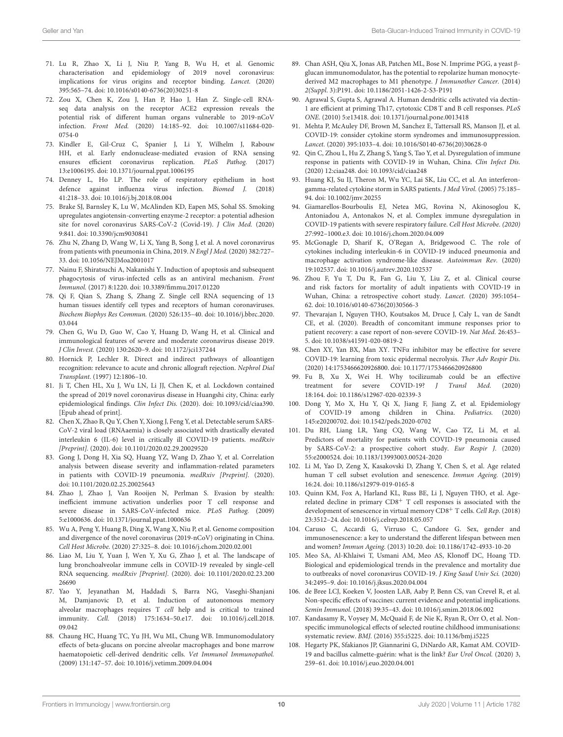- <span id="page-9-0"></span>71. Lu R, Zhao X, Li J, Niu P, Yang B, Wu H, et al. Genomic characterisation and epidemiology of 2019 novel coronavirus: implications for virus origins and receptor binding. Lancet. (2020) 395:565–74. doi: [10.1016/s0140-6736\(20\)30251-8](https://doi.org/10.1016/s0140-6736(20)30251-8)
- <span id="page-9-1"></span>72. Zou X, Chen K, Zou J, Han P, Hao J, Han Z. Single-cell RNAseq data analysis on the receptor ACE2 expression reveals the potential risk of different human organs vulnerable to 2019-nCoV infection. Front Med. [\(2020\) 14:185–92. doi: 10.1007/s11684-020-](https://doi.org/10.1007/s11684-020-0754-0) 0754-0
- <span id="page-9-2"></span>73. Kindler E, Gil-Cruz C, Spanier J, Li Y, Wilhelm J, Rabouw HH, et al. Early endonuclease-mediated evasion of RNA sensing ensures efficient coronavirus replication. PLoS Pathog. (2017) 13:e1006195. doi: [10.1371/journal.ppat.1006195](https://doi.org/10.1371/journal.ppat.1006195)
- <span id="page-9-3"></span>74. Denney L, Ho LP. The role of respiratory epithelium in host defence against influenza virus infection. Biomed J. (2018) 41:218–33. doi: [10.1016/j.bj.2018.08.004](https://doi.org/10.1016/j.bj.2018.08.004)
- <span id="page-9-4"></span>75. Brake SJ, Barnsley K, Lu W, McAlinden KD, Eapen MS, Sohal SS. Smoking upregulates angiotensin-converting enzyme-2 receptor: a potential adhesion site for novel coronavirus SARS-CoV-2 (Covid-19). J Clin Med. (2020) 9:841. doi: [10.3390/jcm9030841](https://doi.org/10.3390/jcm9030841)
- <span id="page-9-5"></span>76. Zhu N, Zhang D, Wang W, Li X, Yang B, Song J, et al. A novel coronavirus from patients with pneumonia in China, 2019. N Engl J Med. (2020) 382:727– 33. doi: [10.1056/NEJMoa2001017](https://doi.org/10.1056/NEJMoa2001017)
- <span id="page-9-6"></span>77. Nainu F, Shiratsuchi A, Nakanishi Y. Induction of apoptosis and subsequent phagocytosis of virus-infected cells as an antiviral mechanism. Front Immunol. (2017) 8:1220. doi: [10.3389/fimmu.2017.01220](https://doi.org/10.3389/fimmu.2017.01220)
- <span id="page-9-7"></span>78. Qi F, Qian S, Zhang S, Zhang Z. Single cell RNA sequencing of 13 human tissues identify cell types and receptors of human coronaviruses. Biochem Biophys Res Commun. [\(2020\) 526:135–40. doi: 10.1016/j.bbrc.2020.](https://doi.org/10.1016/j.bbrc.2020.03.044) 03.044
- <span id="page-9-8"></span>79. Chen G, Wu D, Guo W, Cao Y, Huang D, Wang H, et al. Clinical and immunological features of severe and moderate coronavirus disease 2019. J Clin Invest. (2020) 130:2620–9. doi: [10.1172/jci137244](https://doi.org/10.1172/jci137244)
- 80. Hornick P, Lechler R. Direct and indirect pathways of alloantigen recognition: relevance to acute and chronic allograft rejection. Nephrol Dial Transplant. (1997) 12:1806–10.
- <span id="page-9-9"></span>81. Ji T, Chen HL, Xu J, Wu LN, Li JJ, Chen K, et al. Lockdown contained the spread of 2019 novel coronavirus disease in Huangshi city, China: early epidemiological findings. Clin Infect Dis. (2020). doi: [10.1093/cid/ciaa390.](https://doi.org/10.1093/cid/ciaa390) [Epub ahead of print].
- <span id="page-9-10"></span>82. Chen X, Zhao B, Qu Y, Chen Y, Xiong J, Feng Y, et al. Detectable serum SARS-CoV-2 viral load (RNAaemia) is closely associated with drastically elevated interleukin 6 (IL-6) level in critically ill COVID-19 patients. medRxiv [Preprint]. (2020). doi: [10.1101/2020.02.29.20029520](https://doi.org/10.1101/2020.02.29.20029520)
- <span id="page-9-11"></span>83. Gong J, Dong H, Xia SQ, Huang YZ, Wang D, Zhao Y, et al. Correlation analysis between disease severity and inflammation-related parameters in patients with COVID-19 pneumonia. medRxiv [Preprint]. (2020). doi: [10.1101/2020.02.25.20025643](https://doi.org/10.1101/2020.02.25.20025643)
- <span id="page-9-12"></span>84. Zhao J, Zhao J, Van Rooijen N, Perlman S. Evasion by stealth: inefficient immune activation underlies poor T cell response and severe disease in SARS-CoV-infected mice. PLoS Pathog. (2009) 5:e1000636. doi: [10.1371/journal.ppat.1000636](https://doi.org/10.1371/journal.ppat.1000636)
- <span id="page-9-13"></span>85. Wu A, Peng Y, Huang B, Ding X, Wang X, Niu P, et al. Genome composition and divergence of the novel coronavirus (2019-nCoV) originating in China. Cell Host Microbe. (2020) 27:325–8. doi: [10.1016/j.chom.2020.02.001](https://doi.org/10.1016/j.chom.2020.02.001)
- <span id="page-9-14"></span>86. Liao M, Liu Y, Yuan J, Wen Y, Xu G, Zhao J, et al. The landscape of lung bronchoalveolar immune cells in COVID-19 revealed by single-cell RNA sequencing. medRxiv [Preprint]. [\(2020\). doi: 10.1101/2020.02.23.200](https://doi.org/10.1101/2020.02.23.20026690) 26690
- <span id="page-9-15"></span>87. Yao Y, Jeyanathan M, Haddadi S, Barra NG, Vaseghi-Shanjani M, Damjanovic D, et al. Induction of autonomous memory alveolar macrophages requires T cell help and is critical to trained immunity. Cell. [\(2018\) 175:1634–50.e17. doi: 10.1016/j.cell.2018.](https://doi.org/10.1016/j.cell.2018.09.042) 09.042
- <span id="page-9-16"></span>88. Chaung HC, Huang TC, Yu JH, Wu ML, Chung WB. Immunomodulatory effects of beta-glucans on porcine alveolar macrophages and bone marrow haematopoietic cell-derived dendritic cells. Vet Immunol Immunopathol. (2009) 131:147–57. doi: [10.1016/j.vetimm.2009.04.004](https://doi.org/10.1016/j.vetimm.2009.04.004)
- <span id="page-9-17"></span>89. Chan ASH, Qiu X, Jonas AB, Patchen ML, Bose N. Imprime PGG, a yeast βglucan immunomodulator, has the potential to repolarize human monocytederived M2 macrophages to M1 phenotype. J Immunother Cancer. (2014) 2(Suppl. 3):P191. doi: [10.1186/2051-1426-2-S3-P191](https://doi.org/10.1186/2051-1426-2-S3-P191)
- <span id="page-9-18"></span>90. Agrawal S, Gupta S, Agrawal A. Human dendritic cells activated via dectin-1 are efficient at priming Th17, cytotoxic CD8 T and B cell responses. PLoS ONE. (2010) 5:e13418. doi: [10.1371/journal.pone.0013418](https://doi.org/10.1371/journal.pone.0013418)
- <span id="page-9-19"></span>91. Mehta P, McAuley DF, Brown M, Sanchez E, Tattersall RS, Manson JJ, et al. COVID-19: consider cytokine storm syndromes and immunosuppression. Lancet. (2020) 395:1033–4. doi: [10.1016/S0140-6736\(20\)30628-0](https://doi.org/10.1016/S0140-6736(20)30628-0)
- <span id="page-9-20"></span>92. Qin C, Zhou L, Hu Z, Zhang S, Yang S, Tao Y, et al. Dysregulation of immune response in patients with COVID-19 in Wuhan, China. Clin Infect Dis. (2020) 12:ciaa248. doi: [10.1093/cid/ciaa248](https://doi.org/10.1093/cid/ciaa248)
- <span id="page-9-21"></span>93. Huang KJ, Su IJ, Theron M, Wu YC, Lai SK, Liu CC, et al. An interferongamma-related cytokine storm in SARS patients. J Med Virol. (2005) 75:185– 94. doi: [10.1002/jmv.20255](https://doi.org/10.1002/jmv.20255)
- 94. Giamarellos-Bourboulis EJ, Netea MG, Rovina N, Akinosoglou K, Antoniadou A, Antonakos N, et al. Complex immune dysregulation in COVID-19 patients with severe respiratory failure. Cell Host Microbe. (2020) 27:992–1000.e3. doi: [10.1016/j.chom.2020.04.009](https://doi.org/10.1016/j.chom.2020.04.009)
- <span id="page-9-22"></span>95. McGonagle D, Sharif K, O'Regan A, Bridgewood C. The role of cytokines including interleukin-6 in COVID-19 induced pneumonia and macrophage activation syndrome-like disease. Autoimmun Rev. (2020) 19:102537. doi: [10.1016/j.autrev.2020.102537](https://doi.org/10.1016/j.autrev.2020.102537)
- <span id="page-9-23"></span>96. Zhou F, Yu T, Du R, Fan G, Liu Y, Liu Z, et al. Clinical course and risk factors for mortality of adult inpatients with COVID-19 in Wuhan, China: a retrospective cohort study. Lancet. (2020) 395:1054– 62. doi: [10.1016/s0140-6736\(20\)30566-3](https://doi.org/10.1016/s0140-6736(20)30566-3)
- <span id="page-9-24"></span>97. Thevarajan I, Nguyen THO, Koutsakos M, Druce J, Caly L, van de Sandt CE, et al. (2020). Breadth of concomitant immune responses prior to patient recovery: a case report of non-severe COVID-19. Nat Med. 26:453– 5. doi: [10.1038/s41591-020-0819-2](https://doi.org/10.1038/s41591-020-0819-2)
- <span id="page-9-25"></span>98. Chen XY, Yan BX, Man XY. TNFα inhibitor may be effective for severe COVID-19: learning from toxic epidermal necrolysis. Ther Adv Respir Dis. (2020) 14:1753466620926800. doi: [10.1177/1753466620926800](https://doi.org/10.1177/1753466620926800)
- <span id="page-9-26"></span>99. Fu B, Xu X, Wei H. Why tocilizumab could be an effective treatment for severe COVID-19? J Transl Med. (2020) 18:164. doi: [10.1186/s12967-020-02339-3](https://doi.org/10.1186/s12967-020-02339-3)
- <span id="page-9-27"></span>100. Dong Y, Mo X, Hu Y, Qi X, Jiang F, Jiang Z, et al. Epidemiology of COVID-19 among children in China. Pediatrics. (2020) 145:e20200702. doi: [10.1542/peds.2020-0702](https://doi.org/10.1542/peds.2020-0702)
- <span id="page-9-28"></span>101. Du RH, Liang LR, Yang CQ, Wang W, Cao TZ, Li M, et al. Predictors of mortality for patients with COVID-19 pneumonia caused by SARS-CoV-2: a prospective cohort study. Eur Respir J. (2020) 55:e2000524. doi: [10.1183/13993003.00524-2020](https://doi.org/10.1183/13993003.00524-2020)
- <span id="page-9-29"></span>102. Li M, Yao D, Zeng X, Kasakovski D, Zhang Y, Chen S, et al. Age related human T cell subset evolution and senescence. Immun Ageing. (2019) 16:24. doi: [10.1186/s12979-019-0165-8](https://doi.org/10.1186/s12979-019-0165-8)
- <span id="page-9-30"></span>103. Quinn KM, Fox A, Harland KL, Russ BE, Li J, Nguyen THO, et al. Agerelated decline in primary CD8<sup>+</sup> T cell responses is associated with the development of senescence in virtual memory CD8<sup>+</sup> T cells. Cell Rep. (2018) 23:3512–24. doi: [10.1016/j.celrep.2018.05.057](https://doi.org/10.1016/j.celrep.2018.05.057)
- <span id="page-9-31"></span>104. Caruso C, Accardi G, Virruso C, Candore G. Sex, gender and immunosenescence: a key to understand the different lifespan between men and women? Immun Ageing. (2013) 10:20. doi: [10.1186/1742-4933-10-20](https://doi.org/10.1186/1742-4933-10-20)
- <span id="page-9-32"></span>105. Meo SA, Al-Khlaiwi T, Usmani AM, Meo AS, Klonoff DC, Hoang TD. Biological and epidemiological trends in the prevalence and mortality due to outbreaks of novel coronavirus COVID-19. J King Saud Univ Sci. (2020) 34:2495–9. doi: [10.1016/j.jksus.2020.04.004](https://doi.org/10.1016/j.jksus.2020.04.004)
- <span id="page-9-33"></span>106. de Bree LCJ, Koeken V, Joosten LAB, Aaby P, Benn CS, van Crevel R, et al. Non-specific effects of vaccines: current evidence and potential implications. Semin Immunol. (2018) 39:35–43. doi: [10.1016/j.smim.2018.06.002](https://doi.org/10.1016/j.smim.2018.06.002)
- <span id="page-9-34"></span>107. Kandasamy R, Voysey M, McQuaid F, de Nie K, Ryan R, Orr O, et al. Nonspecific immunological effects of selected routine childhood immunisations: systematic review. BMJ. (2016) 355:i5225. doi: [10.1136/bmj.i5225](https://doi.org/10.1136/bmj.i5225)
- <span id="page-9-35"></span>108. Hegarty PK, Sfakianos JP, Giannarini G, DiNardo AR, Kamat AM. COVID-19 and bacillus calmette-guérin: what is the link? Eur Urol Oncol. (2020) 3, 259–61. doi: [10.1016/j.euo.2020.04.001](https://doi.org/10.1016/j.euo.2020.04.001)